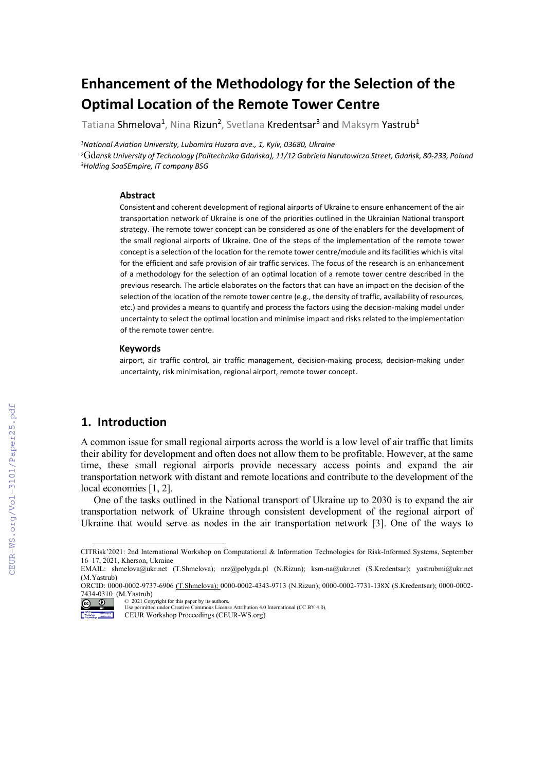# **Enhancement of the Methodology for the Selection of the Optimal Location of the Remote Tower Centre**

Tatiana Shmelova<sup>1</sup>, Nina Rizun<sup>2</sup>, Svetlana Kredentsar<sup>3</sup> and Maksym Yastrub<sup>1</sup>

*1National Aviation University, Lubomira Huzara ave., 1, Kyiv, 03680, Ukraine*

*<sup>2</sup>*Gd*ansk University of Technology (Politechnika Gdańska), 11/12 Gabriela Narutowicza Street, Gdańsk, 80-233, Poland <sup>3</sup>Holding SaaSEmpire, IT company BSG* 

#### **Abstract**

Consistent and coherent development of regional airports of Ukraine to ensure enhancement of the air transportation network of Ukraine is one of the priorities outlined in the Ukrainian National transport strategy. The remote tower concept can be considered as one of the enablers for the development of the small regional airports of Ukraine. One of the steps of the implementation of the remote tower concept is a selection of the location for the remote tower centre/module and its facilities which is vital for the efficient and safe provision of air traffic services. The focus of the research is an enhancement of a methodology for the selection of an optimal location of a remote tower centre described in the previous research. The article elaborates on the factors that can have an impact on the decision of the selection of the location of the remote tower centre (e.g., the density of traffic, availability of resources, etc.) and provides a means to quantify and process the factors using the decision-making model under uncertainty to select the optimal location and minimise impact and risks related to the implementation of the remote tower centre.

#### **Keywords**

airport, air traffic control, air traffic management, decision-making process, decision-making under uncertainty, risk minimisation, regional airport, remote tower concept.

### **1. Introduction**

A common issue for small regional airports across the world is a low level of air traffic that limits their ability for development and often does not allow them to be profitable. However, at the same time, these small regional airports provide necessary access points and expand the air transportation network with distant and remote locations and contribute to the development of the local economies [1, 2].

One of the tasks outlined in the National transport of Ukraine up to 2030 is to expand the air transportation network of Ukraine through consistent development of the regional airport of Ukraine that would serve as nodes in the air transportation network [3]. One of the ways to

<span id="page-0-0"></span>CITRisk'2021: 2nd International Workshop on Computational & Information Technologies for Risk-Informed Systems, September 16–17, 2021, Kherson, Ukraine

EMAIL: [shmelova@ukr.net](mailto:shmelova@ukr.net) (T.Shmelova); nrz@polygda.pl (N.Rizun); ksm-na@ukr.net (S.Kredentsar); yastrubmi@ukr.net (M.Yastrub)

ORCID: 0000-0002-9737-6906 (T.Shmelova); 0000-0002-4343-9713 (N.Rizun); 0000-0002-7731-138X (S.Kredentsar); 0000-0002- 7434-0310 (M.Yastrub)

<sup>©</sup> 2021 Copyright for this paper by its authors. Use permitted under Creative Commons License Attribution 4.0 International (CC BY 4.0).

**Motercelon** CEUR Workshop Proceedings (CEUR-WS.org)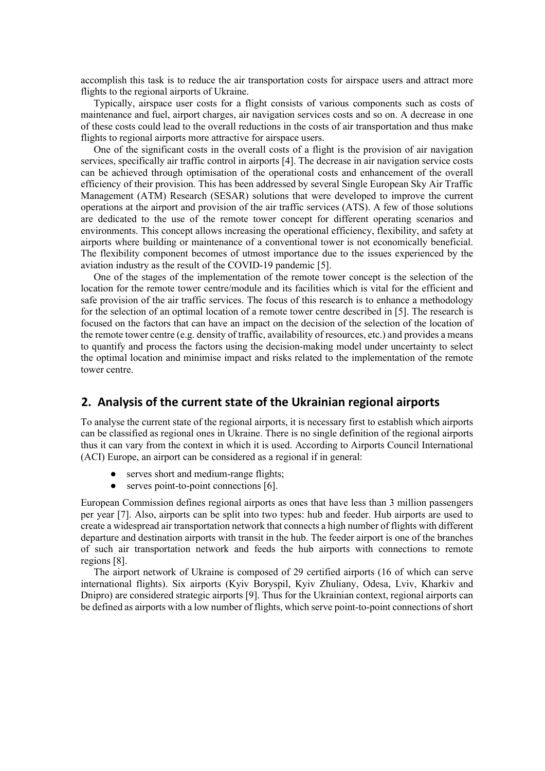accomplish this task is to reduce the air transportation costs for airspace users and attract more flights to the regional airports of Ukraine.

Typically, airspace user costs for a flight consists of various components such as costs of maintenance and fuel, airport charges, air navigation services costs and so on. A decrease in one of these costs could lead to the overall reductions in the costs of air transportation and thus make flights to regional airports more attractive for airspace users.

One of the significant costs in the overall costs of a flight is the provision of air navigation services, specifically air traffic control in airports [4]. The decrease in air navigation service costs can be achieved through optimisation of the operational costs and enhancement of the overall efficiency of their provision. This has been addressed by several Single European Sky Air Traffic Management (ATM) Research (SESAR) solutions that were developed to improve the current operations at the airport and provision of the air traffic services (ATS). A few of those solutions are dedicated to the use of the remote tower concept for different operating scenarios and environments. This concept allows increasing the operational efficiency, flexibility, and safety at airports where building or maintenance of a conventional tower is not economically beneficial. The flexibility component becomes of utmost importance due to the issues experienced by the aviation industry as the result of the COVID-19 pandemic [5].

One of the stages of the implementation of the remote tower concept is the selection of the location for the remote tower centre/module and its facilities which is vital for the efficient and safe provision of the air traffic services. The focus of this research is to enhance a methodology for the selection of an optimal location of a remote tower centre described in [5]. The research is focused on the factors that can have an impact on the decision of the selection of the location of the remote tower centre (e.g. density of traffic, availability of resources, etc.) and provides a means to quantify and process the factors using the decision-making model under uncertainty to select the optimal location and minimise impact and risks related to the implementation of the remote tower centre.

### **2. Analysis of the current state of the Ukrainian regional airports**

To analyse the current state of the regional airports, it is necessary first to establish which airports can be classified as regional ones in Ukraine. There is no single definition of the regional airports thus it can vary from the context in which it is used. According to Airports Council International (ACI) Europe, an airport can be considered as a regional if in general:

- serves short and medium-range flights;
- serves point-to-point connections [6].

European Commission defines regional airports as ones that have less than 3 million passengers per year [7]. Also, airports can be split into two types: hub and feeder. Hub airports are used to create a widespread air transportation network that connects a high number of flights with different departure and destination airports with transit in the hub. The feeder airport is one of the branches of such air transportation network and feeds the hub airports with connections to remote regions [8].

The airport network of Ukraine is composed of 29 certified airports (16 of which can serve international flights). Six airports (Kyiv Boryspil, Kyiv Zhuliany, Odesa, Lviv, Kharkiv and Dnipro) are considered strategic airports [9]. Thus for the Ukrainian context, regional airports can be defined as airports with a low number of flights, which serve point-to-point connections of short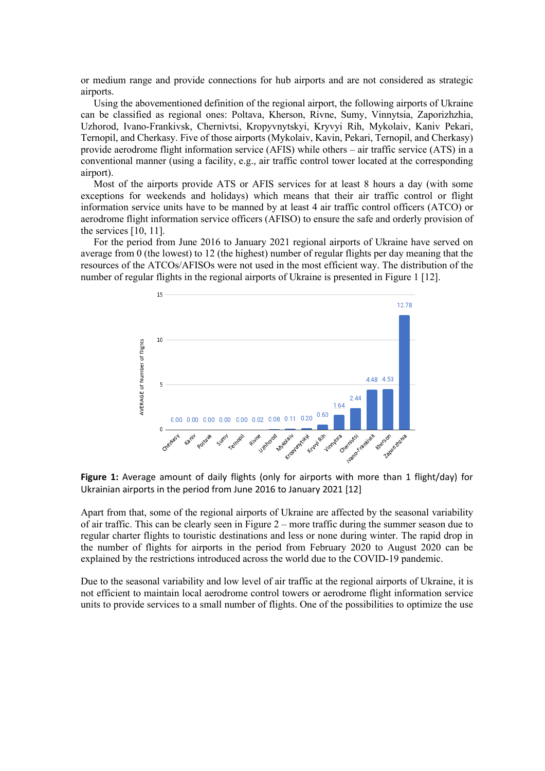or medium range and provide connections for hub airports and are not considered as strategic airports.

Using the abovementioned definition of the regional airport, the following airports of Ukraine can be classified as regional ones: Poltava, Kherson, Rivne, Sumy, Vinnytsia, Zaporizhzhia, Uzhorod, Ivano-Frankivsk, Chernivtsi, Kropyvnytskyi, Kryvyi Rih, Mykolaiv, Kaniv Pekari, Ternopil, and Cherkasy. Five of those airports (Mykolaiv, Kavin, Pekari, Ternopil, and Cherkasy) provide aerodrome flight information service (AFIS) while others – air traffic service (ATS) in a conventional manner (using a facility, e.g., air traffic control tower located at the corresponding airport).

Most of the airports provide ATS or AFIS services for at least 8 hours a day (with some exceptions for weekends and holidays) which means that their air traffic control or flight information service units have to be manned by at least 4 air traffic control officers (ATCO) or aerodrome flight information service officers (AFISO) to ensure the safe and orderly provision of the services [10, 11].

For the period from June 2016 to January 2021 regional airports of Ukraine have served on average from 0 (the lowest) to 12 (the highest) number of regular flights per day meaning that the resources of the ATCOs/AFISOs were not used in the most efficient way. The distribution of the number of regular flights in the regional airports of Ukraine is presented in Figure 1 [12].



**Figure 1:** Average amount of daily flights (only for airports with more than 1 flight/day) for Ukrainian airports in the period from June 2016 to January 2021 [12]

Apart from that, some of the regional airports of Ukraine are affected by the seasonal variability of air traffic. This can be clearly seen in Figure 2 – more traffic during the summer season due to regular charter flights to touristic destinations and less or none during winter. The rapid drop in the number of flights for airports in the period from February 2020 to August 2020 can be explained by the restrictions introduced across the world due to the COVID-19 pandemic.

Due to the seasonal variability and low level of air traffic at the regional airports of Ukraine, it is not efficient to maintain local aerodrome control towers or aerodrome flight information service units to provide services to a small number of flights. One of the possibilities to optimize the use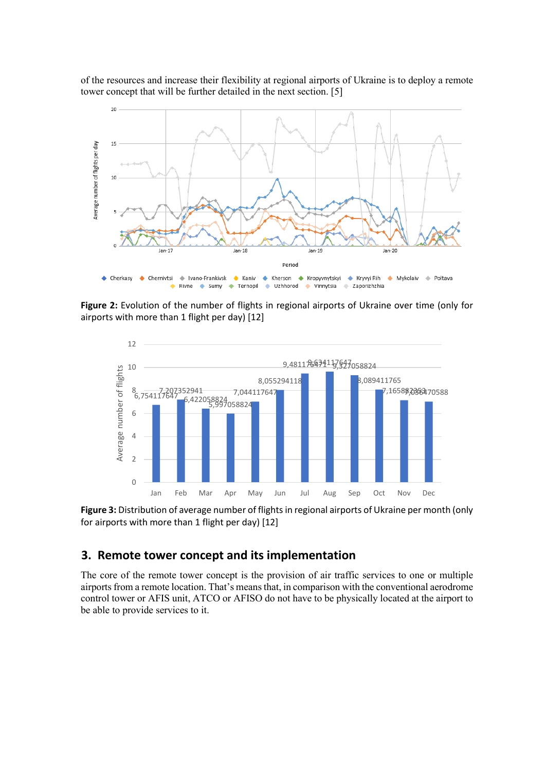of the resources and increase their flexibility at regional airports of Ukraine is to deploy a remote tower concept that will be further detailed in the next section. [5]



**Figure 2:** Evolution of the number of flights in regional airports of Ukraine over time (only for airports with more than 1 flight per day) [12]



**Figure 3:** Distribution of average number of flights in regional airports of Ukraine per month (only for airports with more than 1 flight per day) [12]

### **3. Remote tower concept and its implementation**

The core of the remote tower concept is the provision of air traffic services to one or multiple airports from a remote location. That's means that, in comparison with the conventional aerodrome control tower or AFIS unit, ATCO or AFISO do not have to be physically located at the airport to be able to provide services to it.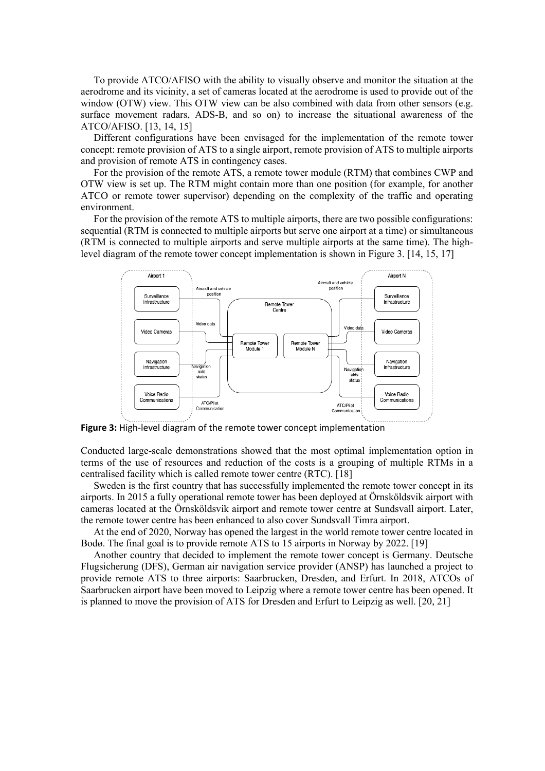To provide ATCO/AFISO with the ability to visually observe and monitor the situation at the aerodrome and its vicinity, a set of cameras located at the aerodrome is used to provide out of the window (OTW) view. This OTW view can be also combined with data from other sensors (e.g. surface movement radars, ADS-B, and so on) to increase the situational awareness of the ATCO/AFISO. [13, 14, 15]

Different configurations have been envisaged for the implementation of the remote tower concept: remote provision of ATS to a single airport, remote provision of ATS to multiple airports and provision of remote ATS in contingency cases.

For the provision of the remote ATS, a remote tower module (RTM) that combines CWP and OTW view is set up. The RTM might contain more than one position (for example, for another ATCO or remote tower supervisor) depending on the complexity of the traffic and operating environment.

For the provision of the remote ATS to multiple airports, there are two possible configurations: sequential (RTM is connected to multiple airports but serve one airport at a time) or simultaneous (RTM is connected to multiple airports and serve multiple airports at the same time). The highlevel diagram of the remote tower concept implementation is shown in Figure 3. [14, 15, 17]



**Figure 3:** High-level diagram of the remote tower concept implementation

Conducted large-scale demonstrations showed that the most optimal implementation option in terms of the use of resources and reduction of the costs is a grouping of multiple RTMs in a centralised facility which is called remote tower centre (RTC). [18]

Sweden is the first country that has successfully implemented the remote tower concept in its airports. In 2015 a fully operational remote tower has been deployed at Örnsköldsvik airport with cameras located at the Örnsköldsvik airport and remote tower centre at Sundsvall airport. Later, the remote tower centre has been enhanced to also cover Sundsvall Timra airport.

At the end of 2020, Norway has opened the largest in the world remote tower centre located in Bodø. The final goal is to provide remote ATS to 15 airports in Norway by 2022. [19]

Another country that decided to implement the remote tower concept is Germany. Deutsche Flugsicherung (DFS), German air navigation service provider (ANSP) has launched a project to provide remote ATS to three airports: Saarbrucken, Dresden, and Erfurt. In 2018, ATCOs of Saarbrucken airport have been moved to Leipzig where a remote tower centre has been opened. It is planned to move the provision of ATS for Dresden and Erfurt to Leipzig as well. [20, 21]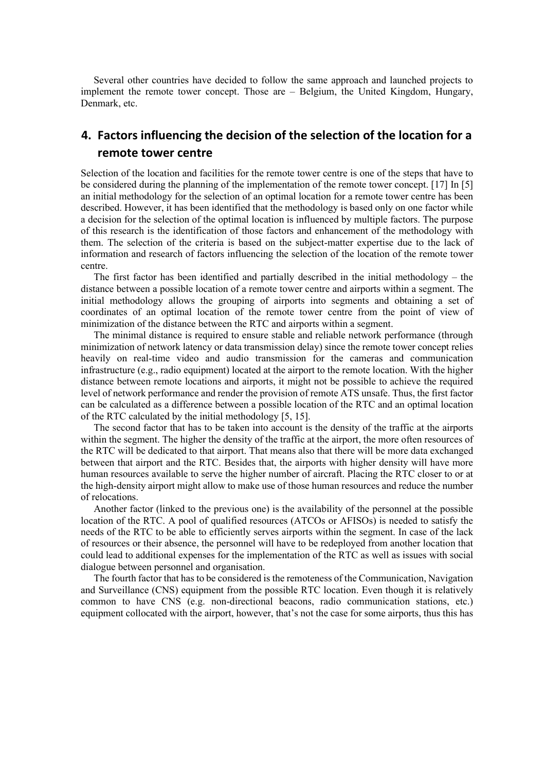Several other countries have decided to follow the same approach and launched projects to implement the remote tower concept. Those are – Belgium, the United Kingdom, Hungary, Denmark, etc.

## **4. Factors influencing the decision of the selection of the location for a remote tower centre**

Selection of the location and facilities for the remote tower centre is one of the steps that have to be considered during the planning of the implementation of the remote tower concept. [17] In [5] an initial methodology for the selection of an optimal location for a remote tower centre has been described. However, it has been identified that the methodology is based only on one factor while a decision for the selection of the optimal location is influenced by multiple factors. The purpose of this research is the identification of those factors and enhancement of the methodology with them. The selection of the criteria is based on the subject-matter expertise due to the lack of information and research of factors influencing the selection of the location of the remote tower centre.

The first factor has been identified and partially described in the initial methodology – the distance between a possible location of a remote tower centre and airports within a segment. The initial methodology allows the grouping of airports into segments and obtaining a set of coordinates of an optimal location of the remote tower centre from the point of view of minimization of the distance between the RTC and airports within a segment.

The minimal distance is required to ensure stable and reliable network performance (through minimization of network latency or data transmission delay) since the remote tower concept relies heavily on real-time video and audio transmission for the cameras and communication infrastructure (e.g., radio equipment) located at the airport to the remote location. With the higher distance between remote locations and airports, it might not be possible to achieve the required level of network performance and render the provision of remote ATS unsafe. Thus, the first factor can be calculated as a difference between a possible location of the RTC and an optimal location of the RTC calculated by the initial methodology [5, 15].

The second factor that has to be taken into account is the density of the traffic at the airports within the segment. The higher the density of the traffic at the airport, the more often resources of the RTC will be dedicated to that airport. That means also that there will be more data exchanged between that airport and the RTC. Besides that, the airports with higher density will have more human resources available to serve the higher number of aircraft. Placing the RTC closer to or at the high-density airport might allow to make use of those human resources and reduce the number of relocations.

Another factor (linked to the previous one) is the availability of the personnel at the possible location of the RTC. A pool of qualified resources (ATCOs or AFISOs) is needed to satisfy the needs of the RTC to be able to efficiently serves airports within the segment. In case of the lack of resources or their absence, the personnel will have to be redeployed from another location that could lead to additional expenses for the implementation of the RTC as well as issues with social dialogue between personnel and organisation.

The fourth factor that has to be considered is the remoteness of the Communication, Navigation and Surveillance (CNS) equipment from the possible RTC location. Even though it is relatively common to have CNS (e.g. non-directional beacons, radio communication stations, etc.) equipment collocated with the airport, however, that's not the case for some airports, thus this has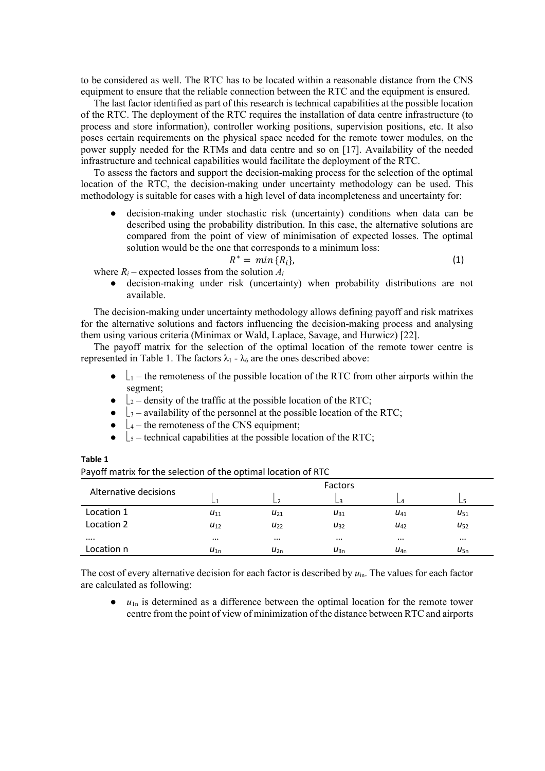to be considered as well. The RTC has to be located within a reasonable distance from the CNS equipment to ensure that the reliable connection between the RTC and the equipment is ensured.

The last factor identified as part of this research is technical capabilities at the possible location of the RTC. The deployment of the RTC requires the installation of data centre infrastructure (to process and store information), controller working positions, supervision positions, etc. It also poses certain requirements on the physical space needed for the remote tower modules, on the power supply needed for the RTMs and data centre and so on [17]. Availability of the needed infrastructure and technical capabilities would facilitate the deployment of the RTC.

To assess the factors and support the decision-making process for the selection of the optimal location of the RTC, the decision-making under uncertainty methodology can be used. This methodology is suitable for cases with a high level of data incompleteness and uncertainty for:

decision-making under stochastic risk (uncertainty) conditions when data can be described using the probability distribution. In this case, the alternative solutions are compared from the point of view of minimisation of expected losses. The optimal solution would be the one that corresponds to a minimum loss:

$$
R^* = \min \{R_i\},\tag{1}
$$

where  $R_i$  – expected losses from the solution  $A_i$ 

● decision-making under risk (uncertainty) when probability distributions are not available.

The decision-making under uncertainty methodology allows defining payoff and risk matrixes for the alternative solutions and factors influencing the decision-making process and analysing them using various criteria (Minimax or Wald, Laplace, Savage, and Hurwicz) [22].

The payoff matrix for the selection of the optimal location of the remote tower centre is represented in Table 1. The factors  $\lambda_1$  -  $\lambda_6$  are the ones described above:

- $\bullet$   $\perp$  the remoteness of the possible location of the RTC from other airports within the segment;
- $\bullet$   $\downarrow$ <sub>2</sub> density of the traffic at the possible location of the RTC;
- $\bigcup_{3}$  availability of the personnel at the possible location of the RTC;
- $\bullet$   $\downarrow$ <sub>4</sub> the remoteness of the CNS equipment;
- $\bullet$   $\vert$  s technical capabilities at the possible location of the RTC;

**Table 1** 

|                       | Factors  |          |          |                 |          |  |  |
|-----------------------|----------|----------|----------|-----------------|----------|--|--|
| Alternative decisions |          | $L^2$    | LЗ       |                 |          |  |  |
| Location 1            | $U_{11}$ | $U_{21}$ | $U_{31}$ | U <sub>41</sub> | $U_{51}$ |  |  |
| Location 2            | $U_{12}$ | $U_{22}$ | $U_{32}$ | U <sub>42</sub> | $U_{52}$ |  |  |
|                       | $\cdots$ | $\cdots$ | $\cdots$ | $\cdots$        | $\cdots$ |  |  |
| Location n            | $u_{1n}$ | $u_{2n}$ | $u_{3n}$ | $U_{4n}$        | $u_{5n}$ |  |  |

The cost of every alternative decision for each factor is described by  $u_{in}$ . The values for each factor are calculated as following:

 $u_{1n}$  is determined as a difference between the optimal location for the remote tower centre from the point of view of minimization of the distance between RTC and airports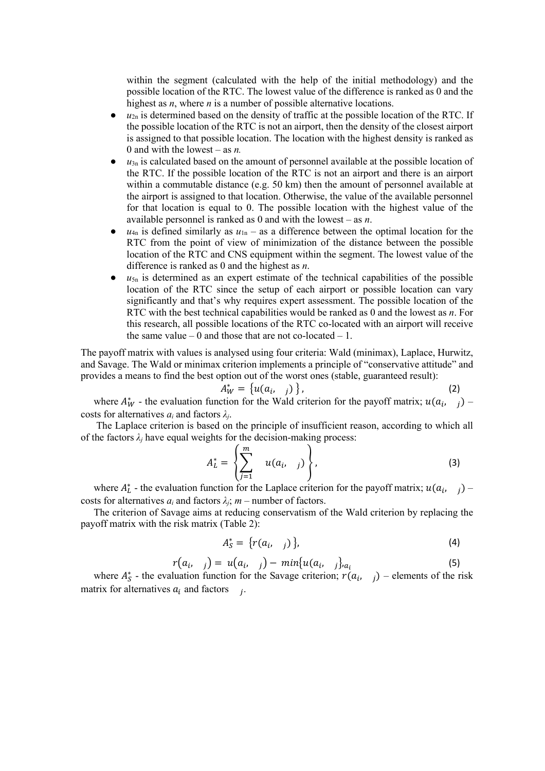within the segment (calculated with the help of the initial methodology) and the possible location of the RTC. The lowest value of the difference is ranked as 0 and the highest as *n*, where *n* is a number of possible alternative locations.

- $\bullet$   $u_{2n}$  is determined based on the density of traffic at the possible location of the RTC. If the possible location of the RTC is not an airport, then the density of the closest airport is assigned to that possible location. The location with the highest density is ranked as 0 and with the lowest – as *n.*
- $u_{3n}$  is calculated based on the amount of personnel available at the possible location of the RTC. If the possible location of the RTC is not an airport and there is an airport within a commutable distance (e.g. 50 km) then the amount of personnel available at the airport is assigned to that location. Otherwise, the value of the available personnel for that location is equal to 0. The possible location with the highest value of the available personnel is ranked as 0 and with the lowest – as *n*.
- $u_{4n}$  is defined similarly as  $u_{1n}$  as a difference between the optimal location for the RTC from the point of view of minimization of the distance between the possible location of the RTC and CNS equipment within the segment. The lowest value of the difference is ranked as 0 and the highest as *n*.
- $\bullet$   $u_{5n}$  is determined as an expert estimate of the technical capabilities of the possible location of the RTC since the setup of each airport or possible location can vary significantly and that's why requires expert assessment. The possible location of the RTC with the best technical capabilities would be ranked as 0 and the lowest as *n*. For this research, all possible locations of the RTC co-located with an airport will receive the same value  $-0$  and those that are not co-located  $-1$ .

The payoff matrix with values is analysed using four criteria: Wald (minimax), Laplace, Hurwitz, and Savage. The Wald or minimax criterion implements a principle of "conservative attitude" and provides a means to find the best option out of the worst ones (stable, guaranteed result):

$$
A_W^* = \left\{ u(a_i, j) \right\},\tag{2}
$$

where  $A^*_{W}$  - the evaluation function for the Wald criterion for the payoff matrix;  $u(a_i, j)$  costs for alternatives *ai* and factors *λj*.

The Laplace criterion is based on the principle of insufficient reason, according to which all of the factors  $\lambda_i$  have equal weights for the decision-making process:

$$
A_L^* = \left\{ \sum_{j=1}^m u(a_i, j) \right\}, \tag{3}
$$

where  $A_L^*$  - the evaluation function for the Laplace criterion for the payoff matrix;  $u(a_i, j)$  costs for alternatives  $a_i$  and factors  $\lambda_i$ ;  $m$  – number of factors.

The criterion of Savage aims at reducing conservatism of the Wald criterion by replacing the payoff matrix with the risk matrix (Table 2):

$$
A_S^* = \{r(a_i, j)\},\tag{4}
$$

$$
r(a_i, j) = u(a_i, j) - min\{u(a_i, j)a_i\}
$$
\n(5)

\nluation function for the Savage criterion:  $r(a_i, j) =$  elements of the risk

where  $A_{\mathcal{S}}^*$  - the evaluation function for the Savage criterion;  $r(a_i, j)$  – elements of the risk matrix for alternatives  $a_i$  and factors  $i$ .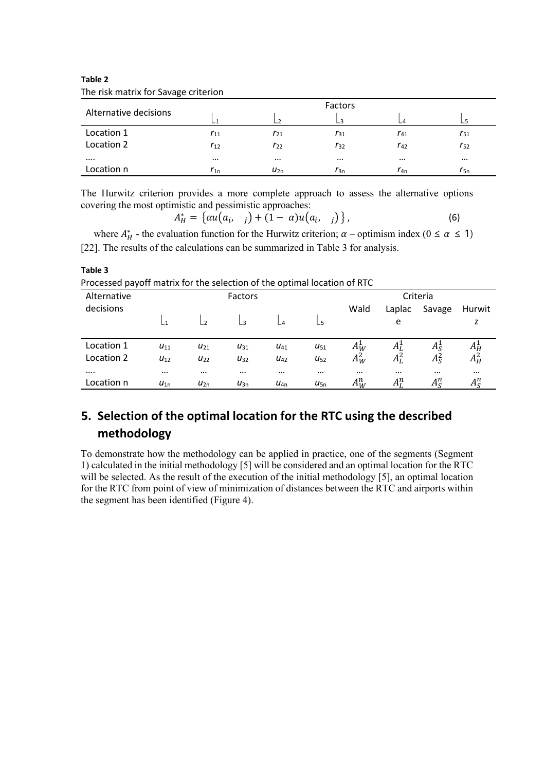**Table 2** The risk matrix for Savage criterion

**Table 3**

| Alternative decisions |          | $\overline{\phantom{a}}$ | $\overline{3}$ |          |          |
|-----------------------|----------|--------------------------|----------------|----------|----------|
| Location 1            | $r_{11}$ | $r_{21}$                 | $r_{31}$       | $r_{41}$ | $r_{51}$ |
| Location 2            | $r_{12}$ | $r_{22}$                 | $r_{32}$       | $r_{42}$ | $r_{52}$ |
|                       | $\cdots$ | $\cdots$                 | $\cdots$       | $\cdots$ | $\cdots$ |
| Location n            | $r_{1n}$ | $u_{2n}$                 | $r_{3n}$       | $r_{4n}$ | $r_{5n}$ |

The Hurwitz criterion provides a more complete approach to assess the alternative options covering the most optimistic and pessimistic approaches:

$$
A_H^* = \{ \alpha u(a_i, j) + (1 - \alpha) u(a_i, j) \}, \tag{6}
$$

where  $A_H^*$  - the evaluation function for the Hurwitz criterion;  $\alpha$  – optimism index ( $0 \le \alpha \le 1$ ) [22]. The results of the calculations can be summarized in Table 3 for analysis.

| Processed payoff matrix for the selection of the optimal location of RTC |          |                |          |                 |              |          |          |               |                                     |  |
|--------------------------------------------------------------------------|----------|----------------|----------|-----------------|--------------|----------|----------|---------------|-------------------------------------|--|
| Alternative<br>decisions                                                 |          | <b>Factors</b> |          |                 |              |          | Criteria |               |                                     |  |
|                                                                          |          |                |          |                 |              | Wald     | Laplac   | Savage        | Hurwit                              |  |
|                                                                          |          |                | ્વ       |                 |              |          | e        |               |                                     |  |
| Location 1                                                               | $U_{11}$ | $U_{21}$       | $U_{31}$ | U <sub>41</sub> | $U_{51}$     | $A_W^1$  | Αį       | $A_S^{\perp}$ | $A_H^{\scriptscriptstyle{\bullet}}$ |  |
| Location 2                                                               | $U_{12}$ | $U_{22}$       | $U_{32}$ | $U_{42}$        | $U_{52}$     | $A_W^2$  | $A_L^2$  | $A^2_{S}$     | $A_H^2$                             |  |
| $\cdots$                                                                 | $\cdots$ | $\cdots$       | $\cdots$ | $\cdots$        | $\cdots$     | $\cdots$ | $\cdots$ | $\cdots$      | $\cdots$                            |  |
| Location n                                                               | $u_{1n}$ | $u_{2n}$       | $u_{3n}$ | $U_{4n}$        | $U_{\rm 5n}$ | $A_W^n$  | $A_I^n$  | $A_{\rm c}^n$ | $A_{\rm S}^n$                       |  |

## **5. Selection of the optimal location for the RTC using the described methodology**

To demonstrate how the methodology can be applied in practice, one of the segments (Segment 1) calculated in the initial methodology [5] will be considered and an optimal location for the RTC will be selected. As the result of the execution of the initial methodology [5], an optimal location for the RTC from point of view of minimization of distances between the RTC and airports within the segment has been identified (Figure 4).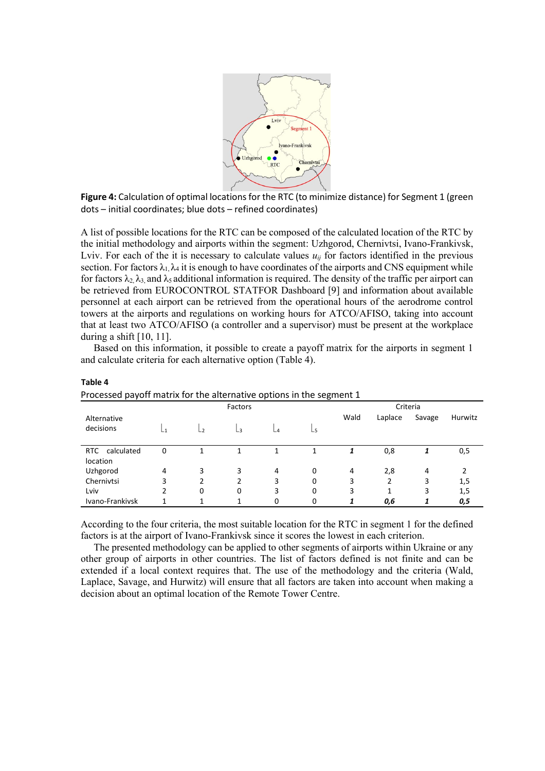

**Figure 4:** Calculation of optimal locations for the RTC (to minimize distance) for Segment 1 (green dots – initial coordinates; blue dots – refined coordinates)

A list of possible locations for the RTC can be composed of the calculated location of the RTC by the initial methodology and airports within the segment: Uzhgorod, Chernivtsi, Ivano-Frankivsk, Lviv. For each of the it is necessary to calculate values  $u_{ij}$  for factors identified in the previous section. For factors  $\lambda_1, \lambda_4$  it is enough to have coordinates of the airports and CNS equipment while for factors  $\lambda_2, \lambda_3$  and  $\lambda_5$  additional information is required. The density of the traffic per airport can be retrieved from EUROCONTROL STATFOR Dashboard [9] and information about available personnel at each airport can be retrieved from the operational hours of the aerodrome control towers at the airports and regulations on working hours for ATCO/AFISO, taking into account that at least two ATCO/AFISO (a controller and a supervisor) must be present at the workplace during a shift  $[10, 11]$ .

Based on this information, it possible to create a payoff matrix for the airports in segment 1 and calculate criteria for each alternative option (Table 4).

| Processed payoff matrix for the alternative options in the segment 1 |                |                |    |                          |    |          |         |        |         |
|----------------------------------------------------------------------|----------------|----------------|----|--------------------------|----|----------|---------|--------|---------|
|                                                                      | Factors        |                |    |                          |    | Criteria |         |        |         |
| Alternative                                                          |                |                |    |                          |    | Wald     | Laplace | Savage | Hurwitz |
| decisions                                                            | $\overline{1}$ | L <sub>2</sub> | Lз | $\overline{\phantom{a}}$ | -5 |          |         |        |         |
| <b>RTC</b><br>calculated                                             | 0              |                |    |                          |    | 1        | 0,8     |        | 0,5     |
| location                                                             |                |                |    |                          |    |          |         |        |         |
| Uzhgorod                                                             | 4              | 3              | 3  | 4                        | 0  | 4        | 2,8     | 4      | 2       |
| Chernivtsi                                                           | 3              | 2              | 2  | 3                        | 0  | 3        |         | 3      | 1,5     |
| Lviv                                                                 | 2              | $\Omega$       | 0  | 3                        | 0  | 3        | 1       | 3      | 1,5     |
| Ivano-Frankivsk                                                      |                |                |    | 0                        |    |          | 0,6     |        | 0,5     |

**Table 4**

According to the four criteria, the most suitable location for the RTC in segment 1 for the defined factors is at the airport of Ivano-Frankivsk since it scores the lowest in each criterion.

The presented methodology can be applied to other segments of airports within Ukraine or any other group of airports in other countries. The list of factors defined is not finite and can be extended if a local context requires that. The use of the methodology and the criteria (Wald, Laplace, Savage, and Hurwitz) will ensure that all factors are taken into account when making a decision about an optimal location of the Remote Tower Centre.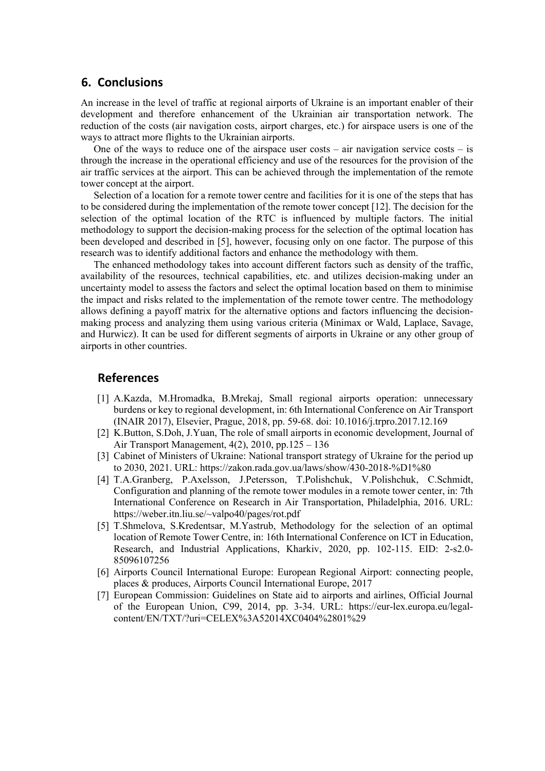#### **6. Conclusions**

An increase in the level of traffic at regional airports of Ukraine is an important enabler of their development and therefore enhancement of the Ukrainian air transportation network. The reduction of the costs (air navigation costs, airport charges, etc.) for airspace users is one of the ways to attract more flights to the Ukrainian airports.

One of the ways to reduce one of the airspace user costs – air navigation service costs – is through the increase in the operational efficiency and use of the resources for the provision of the air traffic services at the airport. This can be achieved through the implementation of the remote tower concept at the airport.

Selection of a location for a remote tower centre and facilities for it is one of the steps that has to be considered during the implementation of the remote tower concept [12]. The decision for the selection of the optimal location of the RTC is influenced by multiple factors. The initial methodology to support the decision-making process for the selection of the optimal location has been developed and described in [5], however, focusing only on one factor. The purpose of this research was to identify additional factors and enhance the methodology with them.

The enhanced methodology takes into account different factors such as density of the traffic, availability of the resources, technical capabilities, etc. and utilizes decision-making under an uncertainty model to assess the factors and select the optimal location based on them to minimise the impact and risks related to the implementation of the remote tower centre. The methodology allows defining a payoff matrix for the alternative options and factors influencing the decisionmaking process and analyzing them using various criteria (Minimax or Wald, Laplace, Savage, and Hurwicz). It can be used for different segments of airports in Ukraine or any other group of airports in other countries.

### **References**

- [1] A.Kazda, M.Hromadka, B.Mrekaj, Small regional airports operation: unnecessary burdens or key to regional development, in: 6th International Conference on Air Transport (INAIR 2017), Elsevier, Prague, 2018, pp. 59-68. doi: 10.1016/j.trpro.2017.12.169
- [2] K.Button, S.Doh, J.Yuan, The role of small airports in economic development, Journal of Air Transport Management, 4(2), 2010, pp.125 – 136
- [3] Cabinet of Ministers of Ukraine: National transport strategy of Ukraine for the period up to 2030, 2021. URL: https://zakon.rada.gov.ua/laws/show/430-2018-%D1%80
- [4] T.A.Granberg, P.Axelsson, J.Petersson, T.Polishchuk, V.Polishchuk, C.Schmidt, Configuration and planning of the remote tower modules in a remote tower center, in: 7th International Conference on Research in Air Transportation, Philadelphia, 2016. URL: https://weber.itn.liu.se/~valpo40/pages/rot.pdf
- [5] T.Shmelova, S.Kredentsar, M.Yastrub, Methodology for the selection of an optimal location of Remote Tower Centre, in: 16th International Conference on ICT in Education, Research, and Industrial Applications, Kharkiv, 2020, pp. 102-115. EID: 2-s2.0- 85096107256
- [6] Airports Council International Europe: European Regional Airport: connecting people, places & produces, Airports Council International Europe, 2017
- [7] European Commission: Guidelines on State aid to airports and airlines, Official Journal of the European Union, C99, 2014, pp. 3-34. URL: https://eur-lex.europa.eu/legalcontent/EN/TXT/?uri=CELEX%3A52014XC0404%2801%29